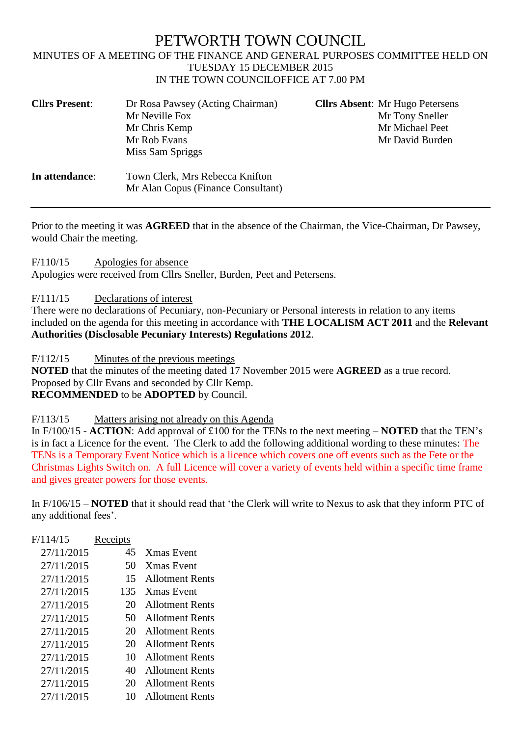## PETWORTH TOWN COUNCIL MINUTES OF A MEETING OF THE FINANCE AND GENERAL PURPOSES COMMITTEE HELD ON TUESDAY 15 DECEMBER 2015 IN THE TOWN COUNCILOFFICE AT 7.00 PM

| <b>Cllrs Present:</b> | Dr Rosa Pawsey (Acting Chairman)                                      | <b>Clirs Absent:</b> Mr Hugo Petersens |
|-----------------------|-----------------------------------------------------------------------|----------------------------------------|
|                       | Mr Neville Fox                                                        | Mr Tony Sneller                        |
|                       | Mr Chris Kemp                                                         | Mr Michael Peet                        |
|                       | Mr Rob Evans                                                          | Mr David Burden                        |
|                       | Miss Sam Spriggs                                                      |                                        |
| In attendance:        | Town Clerk, Mrs Rebecca Knifton<br>Mr Alan Copus (Finance Consultant) |                                        |

Prior to the meeting it was **AGREED** that in the absence of the Chairman, the Vice-Chairman, Dr Pawsey, would Chair the meeting.

F/110/15 Apologies for absence

Apologies were received from Cllrs Sneller, Burden, Peet and Petersens.

F/111/15 Declarations of interest

There were no declarations of Pecuniary, non-Pecuniary or Personal interests in relation to any items included on the agenda for this meeting in accordance with **THE LOCALISM ACT 2011** and the **Relevant Authorities (Disclosable Pecuniary Interests) Regulations 2012**.

F/112/15 Minutes of the previous meetings

**NOTED** that the minutes of the meeting dated 17 November 2015 were **AGREED** as a true record. Proposed by Cllr Evans and seconded by Cllr Kemp. **RECOMMENDED** to be **ADOPTED** by Council.

F/113/15 Matters arising not already on this Agenda

In F/100/15 - **ACTION**: Add approval of £100 for the TENs to the next meeting – **NOTED** that the TEN's is in fact a Licence for the event. The Clerk to add the following additional wording to these minutes: The TENs is a Temporary Event Notice which is a licence which covers one off events such as the Fete or the Christmas Lights Switch on. A full Licence will cover a variety of events held within a specific time frame and gives greater powers for those events.

In F/106/15 – **NOTED** that it should read that 'the Clerk will write to Nexus to ask that they inform PTC of any additional fees'.

| F/114/15   | Receipts |                        |
|------------|----------|------------------------|
| 27/11/2015 | 45       | <b>Xmas</b> Event      |
| 27/11/2015 | 50       | <b>Xmas</b> Event      |
| 27/11/2015 | 15       | <b>Allotment Rents</b> |
| 27/11/2015 | 135      | <b>Xmas Event</b>      |
| 27/11/2015 | 20       | <b>Allotment Rents</b> |
| 27/11/2015 | 50       | <b>Allotment Rents</b> |
| 27/11/2015 | 20       | <b>Allotment Rents</b> |
| 27/11/2015 | 20       | <b>Allotment Rents</b> |
| 27/11/2015 | 10       | <b>Allotment Rents</b> |
| 27/11/2015 | 40       | <b>Allotment Rents</b> |
| 27/11/2015 | 20       | <b>Allotment Rents</b> |
| 27/11/2015 | 10       | <b>Allotment Rents</b> |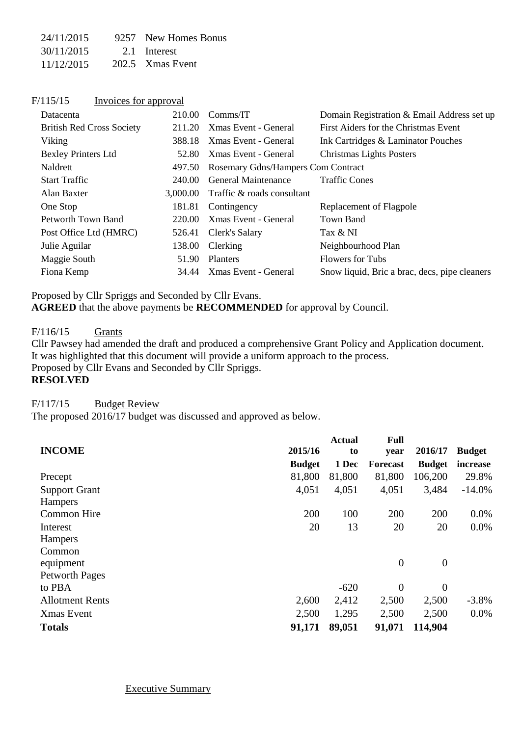| 24/11/2015 | 9257 New Homes Bonus |
|------------|----------------------|
| 30/11/2015 | 2.1 Interest         |
| 11/12/2015 | 202.5 Xmas Event     |

| F/115/15 | Invoices for approval |  |
|----------|-----------------------|--|
|          |                       |  |

| Datacenta                        | 210.00   | Comms/IT                           | Domain Registration & Email Address set up    |
|----------------------------------|----------|------------------------------------|-----------------------------------------------|
| <b>British Red Cross Society</b> | 211.20   | Xmas Event - General               | First Aiders for the Christmas Event          |
| Viking                           | 388.18   | Xmas Event - General               | Ink Cartridges & Laminator Pouches            |
| <b>Bexley Printers Ltd</b>       | 52.80    | Xmas Event - General               | <b>Christmas Lights Posters</b>               |
| Naldrett                         | 497.50   | Rosemary Gdns/Hampers Com Contract |                                               |
| <b>Start Traffic</b>             | 240.00   | <b>General Maintenance</b>         | <b>Traffic Cones</b>                          |
| Alan Baxter                      | 3,000.00 | Traffic & roads consultant         |                                               |
| One Stop                         |          | 181.81 Contingency                 | Replacement of Flagpole                       |
| Petworth Town Band               | 220.00   | Xmas Event - General               | Town Band                                     |
| Post Office Ltd (HMRC)           | 526.41   | Clerk's Salary                     | Tax & NI                                      |
| Julie Aguilar                    | 138.00   | Clerking                           | Neighbourhood Plan                            |
| Maggie South                     | 51.90    | <b>Planters</b>                    | <b>Flowers for Tubs</b>                       |
| Fiona Kemp                       | 34.44    | Xmas Event - General               | Snow liquid, Bric a brac, decs, pipe cleaners |

Proposed by Cllr Spriggs and Seconded by Cllr Evans. **AGREED** that the above payments be **RECOMMENDED** for approval by Council.

F/116/15 Grants

Cllr Pawsey had amended the draft and produced a comprehensive Grant Policy and Application document. It was highlighted that this document will provide a uniform approach to the process.

Proposed by Cllr Evans and Seconded by Cllr Spriggs.

### **RESOLVED**

F/117/15 Budget Review

The proposed 2016/17 budget was discussed and approved as below.

|                        |               | <b>Actual</b> | <b>Full</b>     |                  |               |
|------------------------|---------------|---------------|-----------------|------------------|---------------|
| <b>INCOME</b>          | 2015/16       | to            | year            | 2016/17          | <b>Budget</b> |
|                        | <b>Budget</b> | 1 Dec         | <b>Forecast</b> | <b>Budget</b>    | increase      |
| Precept                | 81,800        | 81,800        | 81,800          | 106,200          | 29.8%         |
| <b>Support Grant</b>   | 4,051         | 4,051         | 4,051           | 3,484            | $-14.0%$      |
| Hampers                |               |               |                 |                  |               |
| Common Hire            | 200           | 100           | 200             | 200              | $0.0\%$       |
| Interest               | 20            | 13            | 20              | 20               | 0.0%          |
| Hampers                |               |               |                 |                  |               |
| Common                 |               |               |                 |                  |               |
| equipment              |               |               | $\mathbf{0}$    | $\boldsymbol{0}$ |               |
| <b>Petworth Pages</b>  |               |               |                 |                  |               |
| to PBA                 |               | $-620$        | $\mathbf{0}$    | $\overline{0}$   |               |
| <b>Allotment Rents</b> | 2,600         | 2,412         | 2,500           | 2,500            | $-3.8\%$      |
| Xmas Event             | 2,500         | 1,295         | 2,500           | 2,500            | 0.0%          |
| <b>Totals</b>          | 91,171        | 89,051        | 91,071          | 114,904          |               |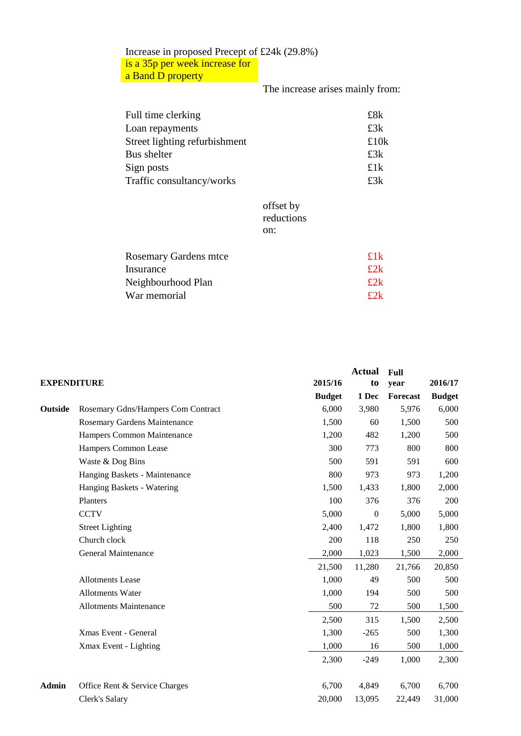## Increase in proposed Precept of £24k (29.8%) is a 35p per week increase for

a Band D property

# The increase arises mainly from:

| Full time clerking            | £8k    |
|-------------------------------|--------|
| Loan repayments               | £3k    |
| Street lighting refurbishment | £10k   |
| Bus shelter                   | £3k    |
| Sign posts                    | £1 $k$ |
| Traffic consultancy/works     | £3k    |

#### offset by reductions on:

| <b>Rosemary Gardens mtce</b> | £1k          |
|------------------------------|--------------|
| Insurance                    | £2k          |
| Neighbourhood Plan           | $\pounds 2k$ |
| War memorial                 | f2k          |
|                              |              |

|                                    |                                                     | <b>Actual</b>    | <b>Full</b> |               |
|------------------------------------|-----------------------------------------------------|------------------|-------------|---------------|
|                                    |                                                     |                  | year        | 2016/17       |
|                                    | <b>Budget</b>                                       | 1 Dec            | Forecast    | <b>Budget</b> |
| Rosemary Gdns/Hampers Com Contract | 6,000                                               | 3,980            | 5,976       | 6,000         |
| Rosemary Gardens Maintenance       | 1,500                                               | 60               | 1,500       | 500           |
| Hampers Common Maintenance         | 1,200                                               | 482              | 1,200       | 500           |
| Hampers Common Lease               | 300                                                 | 773              | 800         | 800           |
| Waste & Dog Bins                   | 500                                                 | 591              | 591         | 600           |
| Hanging Baskets - Maintenance      | 800                                                 | 973              | 973         | 1,200         |
| Hanging Baskets - Watering         | 1,500                                               | 1,433            | 1,800       | 2,000         |
| Planters                           | 100                                                 | 376              | 376         | 200           |
| <b>CCTV</b>                        | 5,000                                               | $\overline{0}$   | 5,000       | 5,000         |
| <b>Street Lighting</b>             | 2,400                                               | 1,472            | 1,800       | 1,800         |
| Church clock                       | 200                                                 | 118              | 250         | 250           |
| General Maintenance                | 2,000                                               | 1,023            | 1,500       | 2,000         |
|                                    | 21,500                                              | 11,280           | 21,766      | 20,850        |
| <b>Allotments Lease</b>            | 1,000                                               | 49               | 500         | 500           |
| <b>Allotments Water</b>            | 1,000                                               | 194              | 500         | 500           |
| <b>Allotments Maintenance</b>      | 500                                                 | 72               | 500         | 1,500         |
|                                    | 2,500                                               | 315              | 1,500       | 2,500         |
| Xmas Event - General               | 1,300                                               | $-265$           | 500         | 1,300         |
| Xmax Event - Lighting              | 1,000                                               | 16               | 500         | 1,000         |
|                                    | 2,300                                               | $-249$           | 1,000       | 2,300         |
|                                    |                                                     |                  |             | 6,700         |
| Clerk's Salary                     | 20,000                                              | 13,095           | 22,449      | 31,000        |
|                                    | <b>EXPENDITURE</b><br>Office Rent & Service Charges | 2015/16<br>6,700 | to<br>4,849 | 6,700         |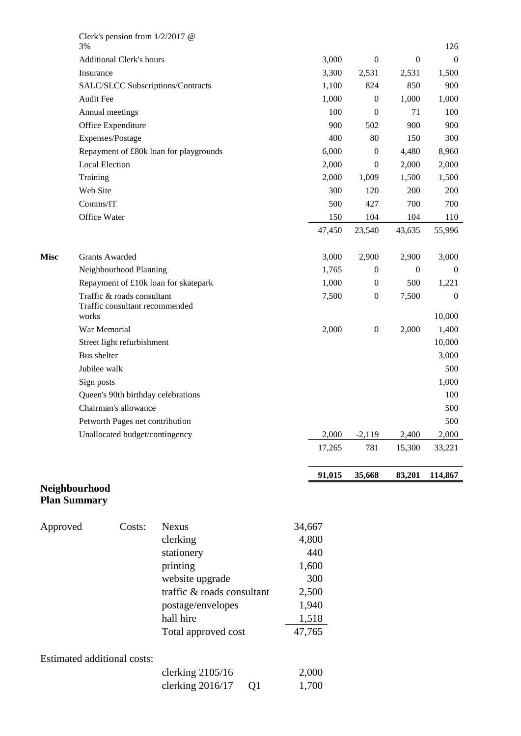|             | 3%                                   | Clerk's pension from $1/2/2017$ @                            |                                        |        |        |                  |                  | 126              |
|-------------|--------------------------------------|--------------------------------------------------------------|----------------------------------------|--------|--------|------------------|------------------|------------------|
|             |                                      | <b>Additional Clerk's hours</b>                              |                                        |        | 3,000  | $\boldsymbol{0}$ | $\boldsymbol{0}$ | $\boldsymbol{0}$ |
|             | Insurance                            |                                                              |                                        |        | 3,300  | 2,531            | 2,531            | 1,500            |
|             |                                      |                                                              | SALC/SLCC Subscriptions/Contracts      |        | 1,100  | 824              | 850              | 900              |
|             | <b>Audit Fee</b>                     |                                                              |                                        |        | 1,000  | $\boldsymbol{0}$ | 1,000            | 1,000            |
|             |                                      | Annual meetings                                              |                                        |        | 100    | $\boldsymbol{0}$ | 71               | 100              |
|             |                                      | Office Expenditure                                           |                                        |        | 900    | 502              | 900              | 900              |
|             |                                      | Expenses/Postage                                             |                                        |        | 400    | 80               | 150              | 300              |
|             |                                      |                                                              | Repayment of £80k loan for playgrounds |        | 6,000  | $\boldsymbol{0}$ | 4,480            | 8,960            |
|             | <b>Local Election</b>                |                                                              |                                        |        | 2,000  | $\boldsymbol{0}$ | 2,000            | 2,000            |
|             | Training                             |                                                              |                                        |        | 2,000  | 1,009            | 1,500            | 1,500            |
|             | Web Site                             |                                                              |                                        |        | 300    | 120              | 200              | 200              |
|             | Comms/IT                             |                                                              |                                        |        | 500    | 427              | 700              | 700              |
|             | Office Water                         |                                                              |                                        |        | 150    | 104              | 104              | 110              |
|             |                                      |                                                              |                                        |        | 47,450 | 23,540           | 43,635           | 55,996           |
| <b>Misc</b> |                                      | <b>Grants Awarded</b>                                        |                                        |        | 3,000  | 2,900            | 2,900            | 3,000            |
|             |                                      | Neighbourhood Planning                                       |                                        |        | 1,765  | $\boldsymbol{0}$ | $\boldsymbol{0}$ | $\boldsymbol{0}$ |
|             |                                      |                                                              | Repayment of £10k loan for skatepark   |        | 1,000  | $\boldsymbol{0}$ | 500              | 1,221            |
|             |                                      | Traffic & roads consultant<br>Traffic consultant recommended |                                        |        | 7,500  | $\boldsymbol{0}$ | 7,500            | $\boldsymbol{0}$ |
|             | works                                |                                                              |                                        |        |        |                  |                  | 10,000           |
|             | War Memorial                         |                                                              |                                        |        | 2,000  | $\boldsymbol{0}$ | 2,000            | 1,400            |
|             |                                      | Street light refurbishment                                   |                                        |        |        |                  |                  | 10,000           |
|             | <b>Bus</b> shelter                   |                                                              |                                        |        |        |                  |                  | 3,000            |
|             | Jubilee walk                         |                                                              |                                        |        |        |                  |                  | 500              |
|             | Sign posts                           |                                                              |                                        |        |        |                  |                  | 1,000            |
|             |                                      | Queen's 90th birthday celebrations                           |                                        |        |        |                  |                  | 100              |
|             |                                      | Chairman's allowance                                         |                                        |        |        |                  |                  | 500              |
|             |                                      | Petworth Pages net contribution                              |                                        |        |        |                  |                  | 500              |
|             |                                      | Unallocated budget/contingency                               |                                        |        | 2,000  | $-2,119$         | 2,400            | 2,000            |
|             |                                      |                                                              |                                        |        | 17,265 | 781              | 15,300           | 33,221           |
|             |                                      |                                                              |                                        |        | 91,015 | 35,668           | 83,201           | 114,867          |
|             | Neighbourhood<br><b>Plan Summary</b> |                                                              |                                        |        |        |                  |                  |                  |
| Approved    |                                      | Costs:                                                       | <b>Nexus</b>                           | 34,667 |        |                  |                  |                  |
|             |                                      |                                                              | clerking                               | 4,800  |        |                  |                  |                  |
|             |                                      |                                                              | stationery                             |        | 440    |                  |                  |                  |
|             |                                      |                                                              | printing                               | 1,600  |        |                  |                  |                  |
|             |                                      |                                                              | website upgrade                        |        | 300    |                  |                  |                  |
|             |                                      |                                                              | traffic & roads consultant             | 2,500  |        |                  |                  |                  |

postage/envelopes 1,940<br>hall hire 1,518<br>Total approved cost 47,765 hall hire Total approved cost

## Estimated additional costs:

| clerking $2105/16$ |                | 2,000 |
|--------------------|----------------|-------|
| clerking $2016/17$ | Q <sub>1</sub> | 1,700 |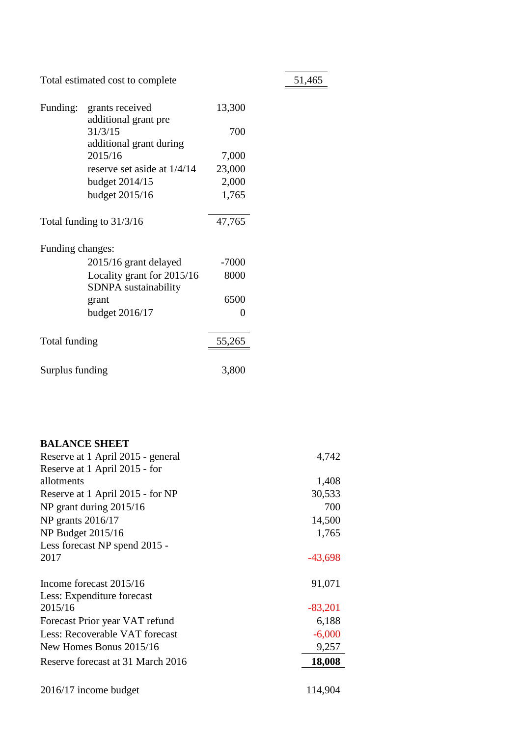Total estimated cost to complete 51,465

| Funding:         | grants received               | 13,300  |
|------------------|-------------------------------|---------|
|                  | additional grant pre          |         |
|                  | 31/3/15                       | 700     |
|                  | additional grant during       |         |
|                  | 2015/16                       | 7,000   |
|                  | reserve set aside at $1/4/14$ | 23,000  |
|                  | budget 2014/15                | 2,000   |
|                  | budget 2015/16                | 1,765   |
|                  | Total funding to $31/3/16$    | 47,765  |
| Funding changes: |                               |         |
|                  | 2015/16 grant delayed         | $-7000$ |
|                  | Locality grant for 2015/16    | 8000    |
|                  | SDNPA sustainability          |         |
|                  | grant                         | 6500    |
|                  | budget 2016/17                | 0       |
| Total funding    |                               | 55,265  |
|                  |                               |         |
| Surplus funding  |                               | 3,800   |

| <b>BALANCE SHEET</b>              |           |
|-----------------------------------|-----------|
| Reserve at 1 April 2015 - general | 4,742     |
| Reserve at 1 April 2015 - for     |           |
| allotments                        | 1,408     |
| Reserve at 1 April 2015 - for NP  | 30,533    |
| NP grant during $2015/16$         | 700       |
| NP grants 2016/17                 | 14,500    |
| NP Budget 2015/16                 | 1,765     |
| Less forecast NP spend 2015 -     |           |
| 2017                              | $-43,698$ |
|                                   |           |
| Income forecast 2015/16           | 91,071    |
| Less: Expenditure forecast        |           |
| 2015/16                           | $-83,201$ |
| Forecast Prior year VAT refund    | 6,188     |
| Less: Recoverable VAT forecast    | $-6,000$  |
| New Homes Bonus 2015/16           | 9,257     |
| Reserve forecast at 31 March 2016 | 18,008    |
|                                   |           |
| 2016/17 income budget             | 114,904   |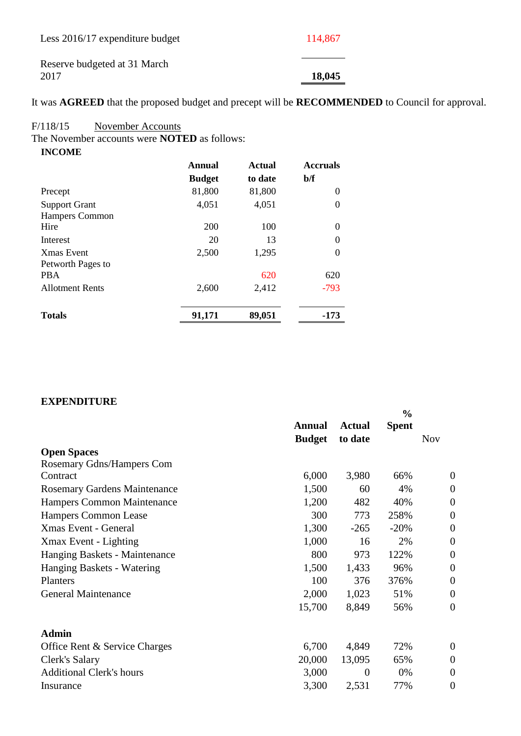| Less 2016/17 expenditure budget      | 114,867 |
|--------------------------------------|---------|
| Reserve budgeted at 31 March<br>2017 | 18,045  |

It was **AGREED** that the proposed budget and precept will be **RECOMMENDED** to Council for approval.

#### F/118/15 November Accounts

The November accounts were **NOTED** as follows:

| <b>INCOME</b>        |               |               |                 |
|----------------------|---------------|---------------|-----------------|
|                      | Annual        | <b>Actual</b> | <b>Accruals</b> |
|                      | <b>Budget</b> | to date       | b/f             |
| Precept              | 81,800        | 81,800        | 0               |
| <b>Support Grant</b> | 4,051         | 4,051         | $\theta$        |
| Hampers Common       |               |               |                 |
| Hire                 | 200           | 100           | $\Omega$        |
| Interest             | 20            | 13            | $\theta$        |
| <b>Xmas Event</b>    | 2,500         | 1,295         | $\theta$        |
| Petworth Pages to    |               |               |                 |

| <b>Totals</b>          | 91,171 | 89,051 | $-173$ |
|------------------------|--------|--------|--------|
| <b>Allotment Rents</b> | 2.600  | 2.412  | $-793$ |
| <b>PBA</b>             |        | 620    | 620    |

#### **EXPENDITURE**

|                                     |               |               | $\frac{0}{0}$ |                  |
|-------------------------------------|---------------|---------------|---------------|------------------|
|                                     | <b>Annual</b> | <b>Actual</b> | <b>Spent</b>  |                  |
|                                     | <b>Budget</b> | to date       |               | <b>Nov</b>       |
| <b>Open Spaces</b>                  |               |               |               |                  |
| Rosemary Gdns/Hampers Com           |               |               |               |                  |
| Contract                            | 6,000         | 3,980         | 66%           | $\theta$         |
| <b>Rosemary Gardens Maintenance</b> | 1,500         | 60            | 4%            | $\overline{0}$   |
| Hampers Common Maintenance          | 1,200         | 482           | 40%           | $\overline{0}$   |
| Hampers Common Lease                | 300           | 773           | 258%          | $\overline{0}$   |
| Xmas Event - General                | 1,300         | $-265$        | $-20%$        | $\overline{0}$   |
| Xmax Event - Lighting               | 1,000         | 16            | 2%            | $\overline{0}$   |
| Hanging Baskets - Maintenance       | 800           | 973           | 122%          | $\overline{0}$   |
| Hanging Baskets - Watering          | 1,500         | 1,433         | 96%           | $\overline{0}$   |
| Planters                            | 100           | 376           | 376%          | $\boldsymbol{0}$ |
| <b>General Maintenance</b>          | 2,000         | 1,023         | 51%           | $\theta$         |
|                                     | 15,700        | 8,849         | 56%           | $\overline{0}$   |
| <b>Admin</b>                        |               |               |               |                  |
| Office Rent & Service Charges       | 6,700         | 4,849         | 72%           | $\overline{0}$   |
| Clerk's Salary                      | 20,000        | 13,095        | 65%           | $\overline{0}$   |
| <b>Additional Clerk's hours</b>     | 3,000         | $\theta$      | 0%            | $\overline{0}$   |
| Insurance                           | 3,300         | 2,531         | 77%           | $\overline{0}$   |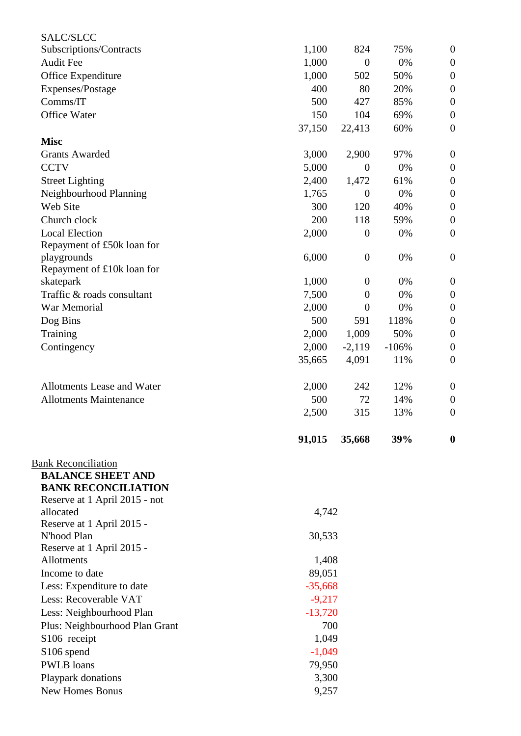| SALC/SLCC                                      |                  |                  |         |                  |
|------------------------------------------------|------------------|------------------|---------|------------------|
| Subscriptions/Contracts                        | 1,100            | 824              | 75%     | $\boldsymbol{0}$ |
| <b>Audit Fee</b>                               | 1,000            | $\boldsymbol{0}$ | 0%      | $\boldsymbol{0}$ |
| Office Expenditure                             | 1,000            | 502              | 50%     | $\mathbf{0}$     |
| Expenses/Postage                               | 400              | 80               | 20%     | $\boldsymbol{0}$ |
| Comms/IT                                       | 500              | 427              | 85%     | $\mathbf{0}$     |
| Office Water                                   | 150              | 104              | 69%     | $\boldsymbol{0}$ |
|                                                | 37,150           | 22,413           | 60%     | $\boldsymbol{0}$ |
| <b>Misc</b>                                    |                  |                  |         |                  |
| <b>Grants Awarded</b>                          | 3,000            | 2,900            | 97%     | $\boldsymbol{0}$ |
| <b>CCTV</b>                                    | 5,000            | $\boldsymbol{0}$ | 0%      | $\boldsymbol{0}$ |
| <b>Street Lighting</b>                         | 2,400            | 1,472            | 61%     | $\boldsymbol{0}$ |
| Neighbourhood Planning                         | 1,765            | $\boldsymbol{0}$ | 0%      | $\boldsymbol{0}$ |
| Web Site                                       | 300              | 120              | 40%     | $\boldsymbol{0}$ |
| Church clock                                   | 200              | 118              | 59%     | $\boldsymbol{0}$ |
| <b>Local Election</b>                          | 2,000            | $\theta$         | 0%      | $\theta$         |
| Repayment of £50k loan for                     |                  |                  |         |                  |
| playgrounds                                    | 6,000            | $\boldsymbol{0}$ | 0%      | $\boldsymbol{0}$ |
| Repayment of £10k loan for                     |                  |                  |         |                  |
| skatepark                                      | 1,000            | $\boldsymbol{0}$ | 0%      | $\boldsymbol{0}$ |
| Traffic & roads consultant                     | 7,500            | $\boldsymbol{0}$ | 0%      | $\boldsymbol{0}$ |
| War Memorial                                   | 2,000            | $\overline{0}$   | 0%      | $\boldsymbol{0}$ |
| Dog Bins                                       | 500              | 591              | 118%    | $\boldsymbol{0}$ |
| Training                                       | 2,000            | 1,009            | 50%     | $\boldsymbol{0}$ |
| Contingency                                    | 2,000            | $-2,119$         | $-106%$ | $\boldsymbol{0}$ |
|                                                | 35,665           | 4,091            | 11%     | $\boldsymbol{0}$ |
| Allotments Lease and Water                     | 2,000            | 242              | 12%     | $\boldsymbol{0}$ |
| <b>Allotments Maintenance</b>                  | 500              | 72               | 14%     | $\boldsymbol{0}$ |
|                                                | 2,500            | 315              | 13%     | $\theta$         |
|                                                | 91,015           | 35,668           | 39%     | $\bf{0}$         |
| <b>Bank Reconciliation</b>                     |                  |                  |         |                  |
| <b>BALANCE SHEET AND</b>                       |                  |                  |         |                  |
| <b>BANK RECONCILIATION</b>                     |                  |                  |         |                  |
| Reserve at 1 April 2015 - not                  |                  |                  |         |                  |
| allocated                                      | 4,742            |                  |         |                  |
| Reserve at 1 April 2015 -                      |                  |                  |         |                  |
| N'hood Plan                                    | 30,533           |                  |         |                  |
| Reserve at 1 April 2015 -<br><b>Allotments</b> | 1,408            |                  |         |                  |
| Income to date                                 | 89,051           |                  |         |                  |
| Less: Expenditure to date                      | $-35,668$        |                  |         |                  |
| Less: Recoverable VAT                          | $-9,217$         |                  |         |                  |
| Less: Neighbourhood Plan                       |                  |                  |         |                  |
| Plus: Neighbourhood Plan Grant                 | $-13,720$<br>700 |                  |         |                  |
| S106 receipt                                   | 1,049            |                  |         |                  |
| S <sub>106</sub> spend                         | $-1,049$         |                  |         |                  |
| <b>PWLB</b> loans                              | 79,950           |                  |         |                  |
| Playpark donations                             | 3,300            |                  |         |                  |
| <b>New Homes Bonus</b>                         | 9,257            |                  |         |                  |
|                                                |                  |                  |         |                  |